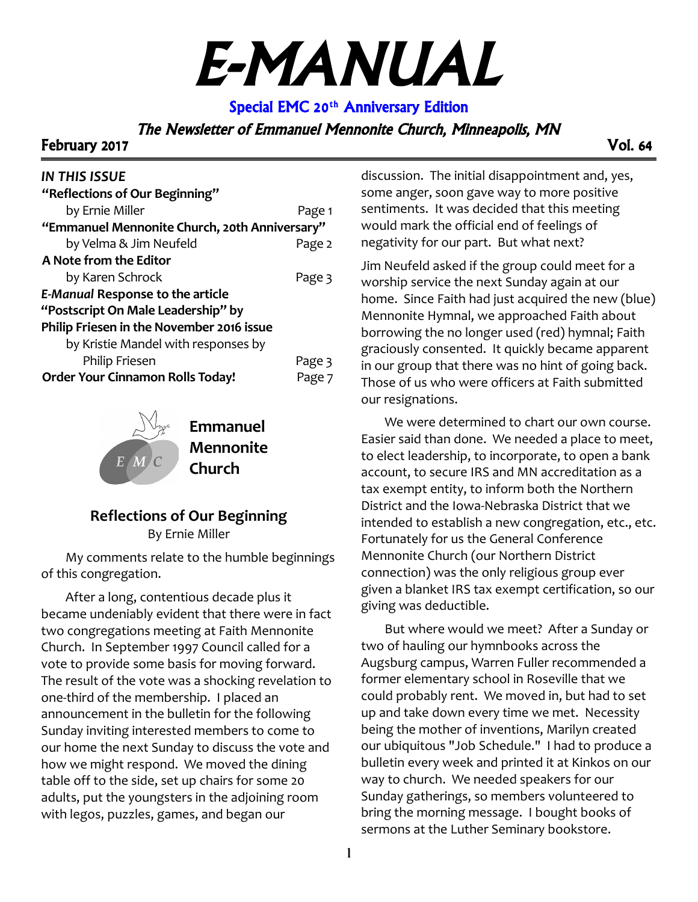# E-MANUAL

Special EMC 20<sup>th</sup> Anniversary Edition

The Newsletter of Emmanuel Mennonite Church, Minneapolis, MN

February 2017 Vol. 64

## *IN THIS ISSUE*

| "Reflections of Our Beginning"                |        |  |
|-----------------------------------------------|--------|--|
| by Ernie Miller                               | Page 1 |  |
| "Emmanuel Mennonite Church, 20th Anniversary" |        |  |
| by Velma & Jim Neufeld                        | Page 2 |  |
| A Note from the Editor                        |        |  |
| by Karen Schrock                              | Page 3 |  |
| <b>E-Manual Response to the article</b>       |        |  |
| "Postscript On Male Leadership" by            |        |  |
| Philip Friesen in the November 2016 issue     |        |  |
| by Kristie Mandel with responses by           |        |  |
| Philip Friesen                                | Page 3 |  |
| <b>Order Your Cinnamon Rolls Today!</b>       | Page 7 |  |
|                                               |        |  |



**Emmanuel Mennonite Church**

#### **Reflections of Our Beginning** By Ernie Miller

My comments relate to the humble beginnings of this congregation.

After a long, contentious decade plus it became undeniably evident that there were in fact two congregations meeting at Faith Mennonite Church. In September 1997 Council called for a vote to provide some basis for moving forward. The result of the vote was a shocking revelation to one-third of the membership. I placed an announcement in the bulletin for the following Sunday inviting interested members to come to our home the next Sunday to discuss the vote and how we might respond. We moved the dining table off to the side, set up chairs for some 20 adults, put the youngsters in the adjoining room with legos, puzzles, games, and began our

discussion. The initial disappointment and, yes, some anger, soon gave way to more positive sentiments. It was decided that this meeting would mark the official end of feelings of negativity for our part. But what next?

Jim Neufeld asked if the group could meet for a worship service the next Sunday again at our home. Since Faith had just acquired the new (blue) Mennonite Hymnal, we approached Faith about borrowing the no longer used (red) hymnal; Faith graciously consented. It quickly became apparent in our group that there was no hint of going back. Those of us who were officers at Faith submitted our resignations.

We were determined to chart our own course. Easier said than done. We needed a place to meet, to elect leadership, to incorporate, to open a bank account, to secure IRS and MN accreditation as a tax exempt entity, to inform both the Northern District and the Iowa-Nebraska District that we intended to establish a new congregation, etc., etc. Fortunately for us the General Conference Mennonite Church (our Northern District connection) was the only religious group ever given a blanket IRS tax exempt certification, so our giving was deductible.

But where would we meet? After a Sunday or two of hauling our hymnbooks across the Augsburg campus, Warren Fuller recommended a former elementary school in Roseville that we could probably rent. We moved in, but had to set up and take down every time we met. Necessity being the mother of inventions, Marilyn created our ubiquitous "Job Schedule." I had to produce a bulletin every week and printed it at Kinkos on our way to church. We needed speakers for our Sunday gatherings, so members volunteered to bring the morning message. I bought books of sermons at the Luther Seminary bookstore.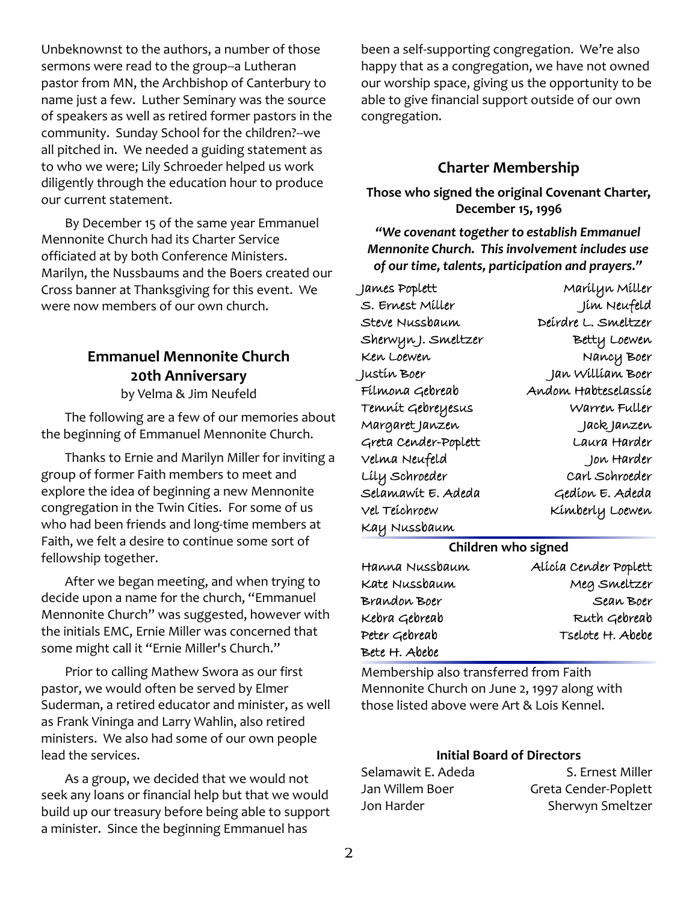Unbeknownst to the authors, a number of those sermons were read to the group--a Lutheran pastor from MN, the Archbishop of Canterbury to name just a few. Luther Seminary was the source of speakers as well as retired former pastors in the community. Sunday School for the children?--we all pitched in. We needed a guiding statement as to who we were; Lily Schroeder helped us work diligently through the education hour to produce our current statement.

By December 15 of the same year Emmanuel Mennonite Church had its Charter Service officiated at by both Conference Ministers. Marilyn, the Nussbaums and the Boers created our Cross banner at Thanksgiving for this event. We were now members of our own church.

### **Emmanuel Mennonite Church 20th Anniversary**

by Velma & Jim Neufeld

The following are a few of our memories about the beginning of Emmanuel Mennonite Church.

Thanks to Ernie and Marilyn Miller for inviting a group of former Faith members to meet and explore the idea of beginning a new Mennonite congregation in the Twin Cities. For some of us who had been friends and long-time members at Faith, we felt a desire to continue some sort of fellowship together.

After we began meeting, and when trying to decide upon a name for the church, "Emmanuel Mennonite Church" was suggested, however with the initials EMC, Ernie Miller was concerned that some might call it "Ernie Miller's Church."

Prior to calling Mathew Swora as our first pastor, we would often be served by Elmer Suderman, a retired educator and minister, as well as Frank Vininga and Larry Wahlin, also retired ministers. We also had some of our own people lead the services.

As a group, we decided that we would not seek any loans or financial help but that we would build up our treasury before being able to support a minister. Since the beginning Emmanuel has

been a self-supporting congregation. We're also happy that as a congregation, we have not owned our worship space, giving us the opportunity to be able to give financial support outside of our own congregation.

#### **Charter Membership**

**Those who signed the original Covenant Charter, December 15, 1996**

*"We covenant together to establish Emmanuel Mennonite Church. This involvement includes use of our time, talents, participation and prayers."*

| James Poplett        | Marílyn Míller      |
|----------------------|---------------------|
| S. Ernest Miller     | Jím Neufeld         |
| Steve Nussbaum       | Deirdre L. Smeltzer |
| SherwynJ. Smeltzer   | Betty Loewen        |
| Ken Loewen           | Nancy Boer          |
| Justín Boer          | Jan William Boer    |
| Filmona Gebreab      | Andom Habteselassíe |
| Temnit Gebreyesus    | Warren Fuller       |
| Margaret Janzen      | Jack Janzen         |
| Greta Cender-Poplett | Laura Harder        |
| Velma Neufeld        | Jon Harder          |
| Líly Schroeder       | Carl Schroeder      |
| Selamawit E. Adeda   | Gedíon E. Adeda     |
| Vel Teíchroew        | Kímberly Loewen     |
| Kay Nussbaum         |                     |

#### **Children who signed**

| Hanna Nussbaum | Alícia Cender Poplett |
|----------------|-----------------------|
| Kate Nussbaum  | Meg Smeltzer          |
| Brandon Boer   | Sean Boer             |
| Kebra Gebreab  | Ruth Gebreab          |
| Peter Gebreab  | Tselote H. Abebe      |
| Bete H. Abebe  |                       |

Membership also transferred from Faith Mennonite Church on June 2, 1997 along with those listed above were Art & Lois Kennel.

#### **Initial Board of Directors**

| Selamawit E. Adeda | S. Ernest Miller     |
|--------------------|----------------------|
| Jan Willem Boer    | Greta Cender-Poplett |
| Jon Harder         | Sherwyn Smeltzer     |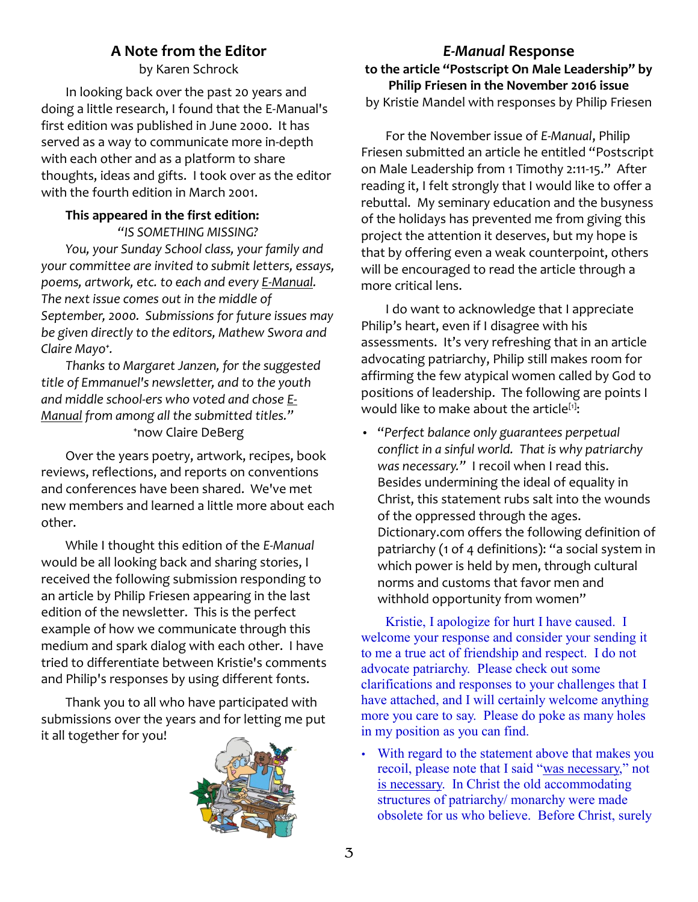### **A Note from the Editor**

by Karen Schrock

In looking back over the past 20 years and doing a little research, I found that the E-Manual's first edition was published in June 2000. It has served as a way to communicate more in-depth with each other and as a platform to share thoughts, ideas and gifts. I took over as the editor with the fourth edition in March 2001.

## **This appeared in the first edition:**

*"IS SOMETHING MISSING? You, your Sunday School class, your family and your committee are invited to submit letters, essays, poems, artwork, etc. to each and every E-Manual. The next issue comes out in the middle of September, 2000. Submissions for future issues may be given directly to the editors, Mathew Swora and Claire Mayo⁺.*

*Thanks to Margaret Janzen, for the suggested title of Emmanuel's newsletter, and to the youth and middle school-ers who voted and chose E-Manual from among all the submitted titles."* ⁺now Claire DeBerg

Over the years poetry, artwork, recipes, book reviews, reflections, and reports on conventions and conferences have been shared. We've met new members and learned a little more about each other.

While I thought this edition of the *E-Manual* would be all looking back and sharing stories, I received the following submission responding to an article by Philip Friesen appearing in the last edition of the newsletter. This is the perfect example of how we communicate through this medium and spark dialog with each other. I have tried to differentiate between Kristie's comments and Philip's responses by using different fonts.

Thank you to all who have participated with submissions over the years and for letting me put it all together for you!



#### *E-Manual* **Response**

**to the article "Postscript On Male Leadership" by Philip Friesen in the November 2016 issue** by Kristie Mandel with responses by Philip Friesen

For the November issue of *E-Manual*, Philip Friesen submitted an article he entitled "Postscript on Male Leadership from 1 Timothy 2:11-15." After reading it, I felt strongly that I would like to offer a rebuttal. My seminary education and the busyness of the holidays has prevented me from giving this project the attention it deserves, but my hope is that by offering even a weak counterpoint, others will be encouraged to read the article through a more critical lens.

I do want to acknowledge that I appreciate Philip's heart, even if I disagree with his assessments. It's very refreshing that in an article advocating patriarchy, Philip still makes room for affirming the few atypical women called by God to positions of leadership. The following are points I would like to make about the article<sup>[1]</sup>:

• "*Perfect balance only guarantees perpetual conflict in a sinful world. That is why patriarchy was necessary."* I recoil when I read this. Besides undermining the ideal of equality in Christ, this statement rubs salt into the wounds of the oppressed through the ages. Dictionary.com offers the following definition of patriarchy (1 of 4 definitions): "a social system in which power is held by men, through cultural norms and customs that favor men and withhold opportunity from women"

Kristie, I apologize for hurt I have caused. I welcome your response and consider your sending it to me a true act of friendship and respect. I do not advocate patriarchy. Please check out some clarifications and responses to your challenges that I have attached, and I will certainly welcome anything more you care to say. Please do poke as many holes in my position as you can find.

With regard to the statement above that makes you recoil, please note that I said "was necessary," not is necessary. In Christ the old accommodating structures of patriarchy/ monarchy were made obsolete for us who believe. Before Christ, surely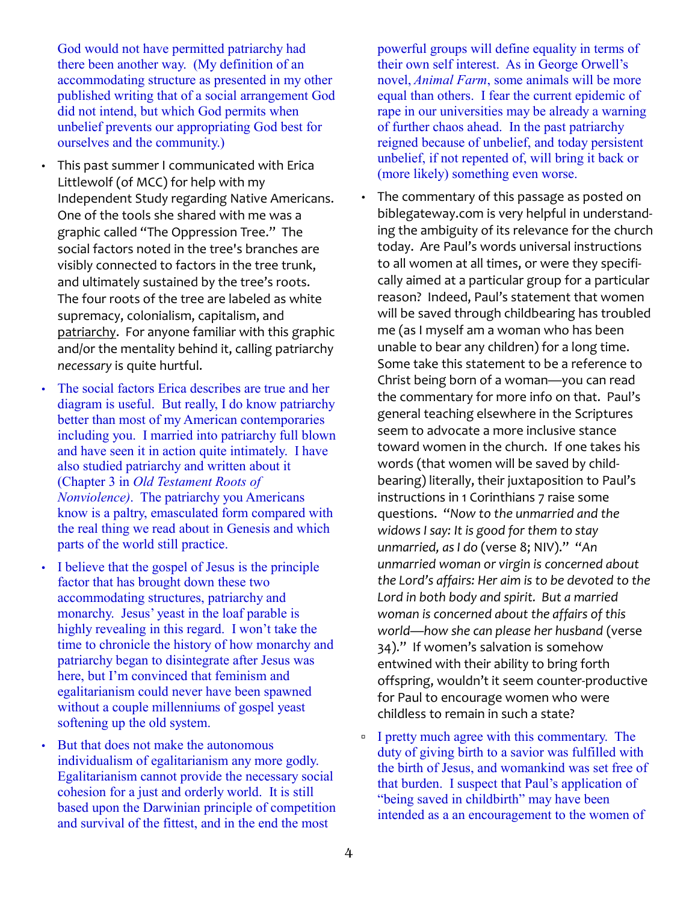God would not have permitted patriarchy had there been another way. (My definition of an accommodating structure as presented in my other published writing that of a social arrangement God did not intend, but which God permits when unbelief prevents our appropriating God best for ourselves and the community.)

- This past summer I communicated with Erica Littlewolf (of MCC) for help with my Independent Study regarding Native Americans. One of the tools she shared with me was a graphic called "The Oppression Tree." The social factors noted in the tree's branches are visibly connected to factors in the tree trunk, and ultimately sustained by the tree's roots. The four roots of the tree are labeled as white supremacy, colonialism, capitalism, and patriarchy. For anyone familiar with this graphic and/or the mentality behind it, calling patriarchy *necessary* is quite hurtful.
- The social factors Erica describes are true and her diagram is useful. But really, I do know patriarchy better than most of my American contemporaries including you. I married into patriarchy full blown and have seen it in action quite intimately. I have also studied patriarchy and written about it (Chapter 3 in *Old Testament Roots of Nonviolence)*. The patriarchy you Americans know is a paltry, emasculated form compared with the real thing we read about in Genesis and which parts of the world still practice.
- I believe that the gospel of Jesus is the principle factor that has brought down these two accommodating structures, patriarchy and monarchy. Jesus' yeast in the loaf parable is highly revealing in this regard. I won't take the time to chronicle the history of how monarchy and patriarchy began to disintegrate after Jesus was here, but I'm convinced that feminism and egalitarianism could never have been spawned without a couple millenniums of gospel yeast softening up the old system.
- But that does not make the autonomous individualism of egalitarianism any more godly. Egalitarianism cannot provide the necessary social cohesion for a just and orderly world. It is still based upon the Darwinian principle of competition and survival of the fittest, and in the end the most

powerful groups will define equality in terms of their own self interest. As in George Orwell's novel, *Animal Farm*, some animals will be more equal than others. I fear the current epidemic of rape in our universities may be already a warning of further chaos ahead. In the past patriarchy reigned because of unbelief, and today persistent unbelief, if not repented of, will bring it back or (more likely) something even worse.

- The commentary of this passage as posted on biblegateway.com is very helpful in understanding the ambiguity of its relevance for the church today. Are Paul's words universal instructions to all women at all times, or were they specifically aimed at a particular group for a particular reason? Indeed, Paul's statement that women will be saved through childbearing has troubled me (as I myself am a woman who has been unable to bear any children) for a long time. Some take this statement to be a reference to Christ being born of a woman—you can read the commentary for more info on that. Paul's general teaching elsewhere in the Scriptures seem to advocate a more inclusive stance toward women in the church. If one takes his words (that women will be saved by childbearing) literally, their juxtaposition to Paul's instructions in 1 Corinthians 7 raise some questions. "*Now to the unmarried and the widows I say: It is good for them to stay unmarried, as I do* (verse 8; NIV)." "*An unmarried woman or virgin is concerned about the Lord's affairs: Her aim is to be devoted to the Lord in both body and spirit. But a married woman is concerned about the affairs of this world—how she can please her husband* (verse 34)." If women's salvation is somehow entwined with their ability to bring forth offspring, wouldn't it seem counter-productive for Paul to encourage women who were childless to remain in such a state?
- I pretty much agree with this commentary. The duty of giving birth to a savior was fulfilled with the birth of Jesus, and womankind was set free of that burden. I suspect that Paul's application of "being saved in childbirth" may have been intended as a an encouragement to the women of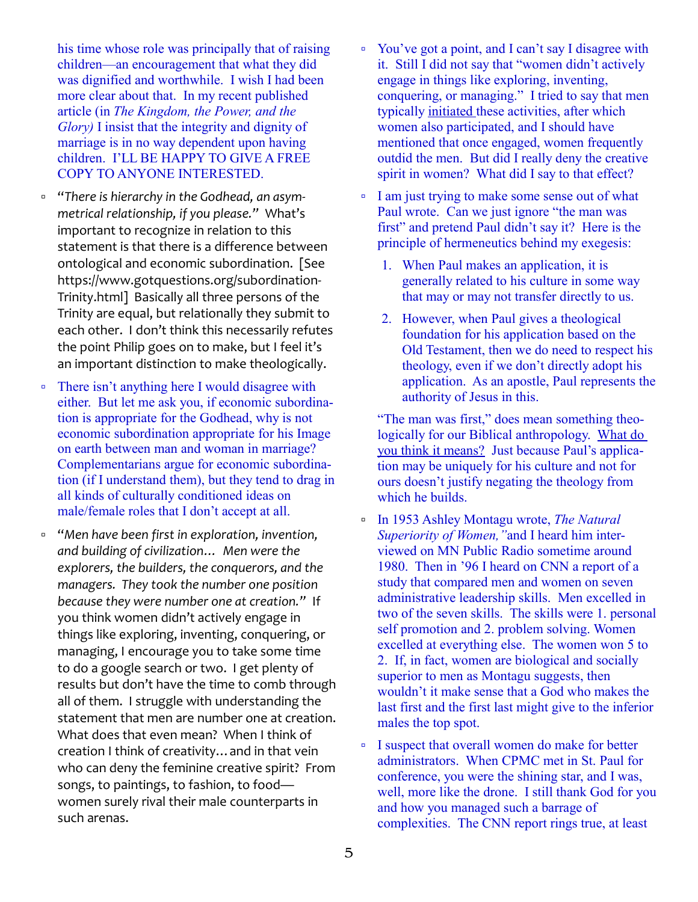his time whose role was principally that of raising children—an encouragement that what they did was dignified and worthwhile. I wish I had been more clear about that. In my recent published article (in *The Kingdom, the Power, and the Glory)* I insist that the integrity and dignity of marriage is in no way dependent upon having children. I'LL BE HAPPY TO GIVE A FREE COPY TO ANYONE INTERESTED.

- "*There is hierarchy in the Godhead, an asymmetrical relationship, if you please."* What's important to recognize in relation to this statement is that there is a difference between ontological and economic subordination. [See https://www.gotquestions.org/subordination-Trinity.html] Basically all three persons of the Trinity are equal, but relationally they submit to each other. I don't think this necessarily refutes the point Philip goes on to make, but I feel it's an important distinction to make theologically.
- There isn't anything here I would disagree with either. But let me ask you, if economic subordination is appropriate for the Godhead, why is not economic subordination appropriate for his Image on earth between man and woman in marriage? Complementarians argue for economic subordination (if I understand them), but they tend to drag in all kinds of culturally conditioned ideas on male/female roles that I don't accept at all.
- "*Men have been first in exploration, invention, and building of civilization… Men were the explorers, the builders, the conquerors, and the managers. They took the number one position because they were number one at creation."* If you think women didn't actively engage in things like exploring, inventing, conquering, or managing, I encourage you to take some time to do a google search or two. I get plenty of results but don't have the time to comb through all of them. I struggle with understanding the statement that men are number one at creation. What does that even mean? When I think of creation I think of creativity…and in that vein who can deny the feminine creative spirit? From songs, to paintings, to fashion, to food women surely rival their male counterparts in such arenas.
- You've got a point, and I can't say I disagree with it. Still I did not say that "women didn't actively engage in things like exploring, inventing, conquering, or managing." I tried to say that men typically initiated these activities, after which women also participated, and I should have mentioned that once engaged, women frequently outdid the men. But did I really deny the creative spirit in women? What did I say to that effect?
- I am just trying to make some sense out of what Paul wrote. Can we just ignore "the man was first" and pretend Paul didn't say it? Here is the principle of hermeneutics behind my exegesis:
	- 1. When Paul makes an application, it is generally related to his culture in some way that may or may not transfer directly to us.
	- 2. However, when Paul gives a theological foundation for his application based on the Old Testament, then we do need to respect his theology, even if we don't directly adopt his application. As an apostle, Paul represents the authority of Jesus in this.

"The man was first," does mean something theologically for our Biblical anthropology. What do you think it means? Just because Paul's application may be uniquely for his culture and not for ours doesn't justify negating the theology from which he builds.

- In 1953 Ashley Montagu wrote, *The Natural Superiority of Women,"*and I heard him interviewed on MN Public Radio sometime around 1980. Then in '96 I heard on CNN a report of a study that compared men and women on seven administrative leadership skills. Men excelled in two of the seven skills. The skills were 1. personal self promotion and 2. problem solving. Women excelled at everything else. The women won 5 to 2. If, in fact, women are biological and socially superior to men as Montagu suggests, then wouldn't it make sense that a God who makes the last first and the first last might give to the inferior males the top spot.
- I suspect that overall women do make for better administrators. When CPMC met in St. Paul for conference, you were the shining star, and I was, well, more like the drone. I still thank God for you and how you managed such a barrage of complexities. The CNN report rings true, at least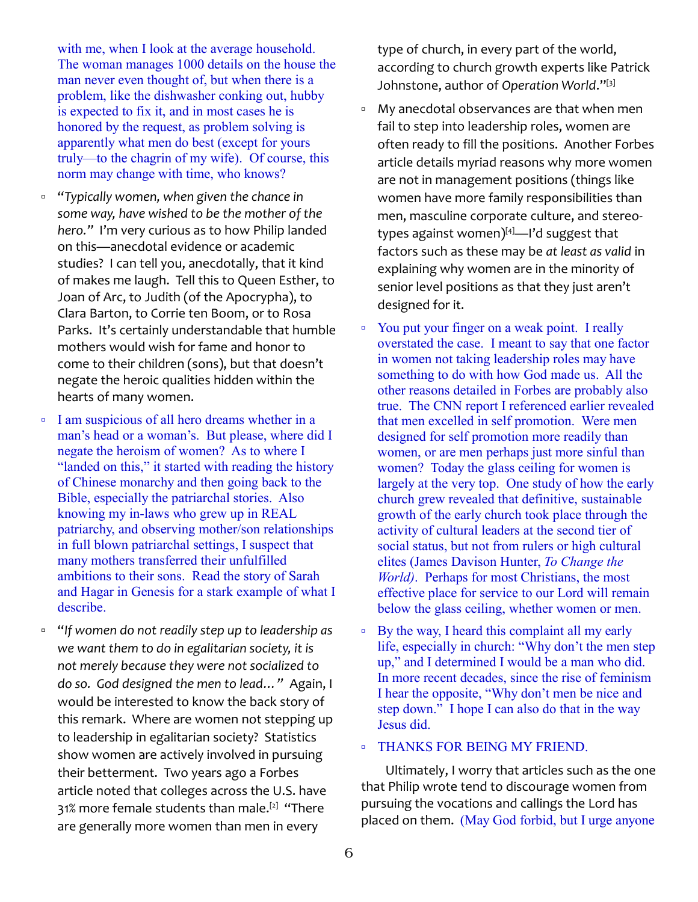with me, when I look at the average household. The woman manages 1000 details on the house the man never even thought of, but when there is a problem, like the dishwasher conking out, hubby is expected to fix it, and in most cases he is honored by the request, as problem solving is apparently what men do best (except for yours truly—to the chagrin of my wife). Of course, this norm may change with time, who knows?

- "*Typically women, when given the chance in some way, have wished to be the mother of the hero."* I'm very curious as to how Philip landed on this—anecdotal evidence or academic studies? I can tell you, anecdotally, that it kind of makes me laugh. Tell this to Queen Esther, to Joan of Arc, to Judith (of the Apocrypha), to Clara Barton, to Corrie ten Boom, or to Rosa Parks. It's certainly understandable that humble mothers would wish for fame and honor to come to their children (sons), but that doesn't negate the heroic qualities hidden within the hearts of many women.
- I am suspicious of all hero dreams whether in a man's head or a woman's. But please, where did I negate the heroism of women? As to where I "landed on this," it started with reading the history of Chinese monarchy and then going back to the Bible, especially the patriarchal stories. Also knowing my in-laws who grew up in REAL patriarchy, and observing mother/son relationships in full blown patriarchal settings, I suspect that many mothers transferred their unfulfilled ambitions to their sons. Read the story of Sarah and Hagar in Genesis for a stark example of what I describe.
- "*If women do not readily step up to leadership as we want them to do in egalitarian society, it is not merely because they were not socialized to do so. God designed the men to lead…"* Again, I would be interested to know the back story of this remark. Where are women not stepping up to leadership in egalitarian society? Statistics show women are actively involved in pursuing their betterment. Two years ago a Forbes article noted that colleges across the U.S. have 31% more female students than male.<sup>[2]</sup> "There are generally more women than men in every

type of church, in every part of the world, according to church growth experts like Patrick Johnstone, author of *Operation World*."[3]

- My anecdotal observances are that when men fail to step into leadership roles, women are often ready to fill the positions. Another Forbes article details myriad reasons why more women are not in management positions (things like women have more family responsibilities than men, masculine corporate culture, and stereotypes against women) $[4]$ —I'd suggest that factors such as these may be *at least as valid* in explaining why women are in the minority of senior level positions as that they just aren't designed for it.
- You put your finger on a weak point. I really overstated the case. I meant to say that one factor in women not taking leadership roles may have something to do with how God made us. All the other reasons detailed in Forbes are probably also true. The CNN report I referenced earlier revealed that men excelled in self promotion. Were men designed for self promotion more readily than women, or are men perhaps just more sinful than women? Today the glass ceiling for women is largely at the very top. One study of how the early church grew revealed that definitive, sustainable growth of the early church took place through the activity of cultural leaders at the second tier of social status, but not from rulers or high cultural elites (James Davison Hunter, *To Change the World)*. Perhaps for most Christians, the most effective place for service to our Lord will remain below the glass ceiling, whether women or men.
- By the way, I heard this complaint all my early life, especially in church: "Why don't the men step up," and I determined I would be a man who did. In more recent decades, since the rise of feminism I hear the opposite, "Why don't men be nice and step down." I hope I can also do that in the way Jesus did.

#### THANKS FOR BEING MY FRIEND.

Ultimately, I worry that articles such as the one that Philip wrote tend to discourage women from pursuing the vocations and callings the Lord has placed on them. (May God forbid, but I urge anyone